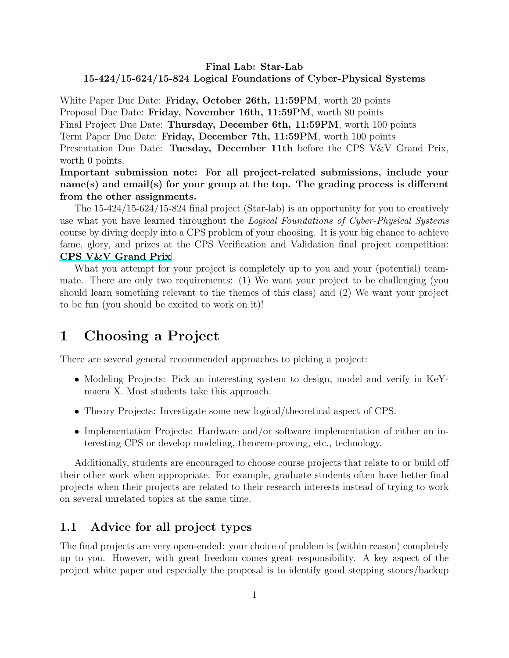#### Final Lab: Star-Lab 15-424/15-624/15-824 Logical Foundations of Cyber-Physical Systems

White Paper Due Date: Friday, October 26th, 11:59PM, worth 20 points Proposal Due Date: Friday, November 16th, 11:59PM, worth 80 points Final Project Due Date: Thursday, December 6th, 11:59PM, worth 100 points Term Paper Due Date: Friday, December 7th, 11:59PM, worth 100 points Presentation Due Date: Tuesday, December 11th before the CPS V&V Grand Prix, worth 0 points.

Important submission note: For all project-related submissions, include your name(s) and email(s) for your group at the top. The grading process is different from the other assignments.

The 15-424/15-624/15-824 final project (Star-lab) is an opportunity for you to creatively use what you have learned throughout the *Logical Foundations of Cyber-Physical Systems* course by diving deeply into a CPS problem of your choosing. It is your big chance to achieve fame, glory, and prizes at the CPS Verification and Validation final project competition: [CPS V&V Grand Prix](http://lfcps.org/course/lfcps18-competition.html)

What you attempt for your project is completely up to you and your (potential) teammate. There are only two requirements: (1) We want your project to be challenging (you should learn something relevant to the themes of this class) and (2) We want your project to be fun (you should be excited to work on it)!

## 1 Choosing a Project

There are several general recommended approaches to picking a project:

- Modeling Projects: Pick an interesting system to design, model and verify in KeYmaera X. Most students take this approach.
- Theory Projects: Investigate some new logical/theoretical aspect of CPS.
- Implementation Projects: Hardware and/or software implementation of either an interesting CPS or develop modeling, theorem-proving, etc., technology.

Additionally, students are encouraged to choose course projects that relate to or build off their other work when appropriate. For example, graduate students often have better final projects when their projects are related to their research interests instead of trying to work on several unrelated topics at the same time.

## 1.1 Advice for all project types

The final projects are very open-ended: your choice of problem is (within reason) completely up to you. However, with great freedom comes great responsibility. A key aspect of the project white paper and especially the proposal is to identify good stepping stones/backup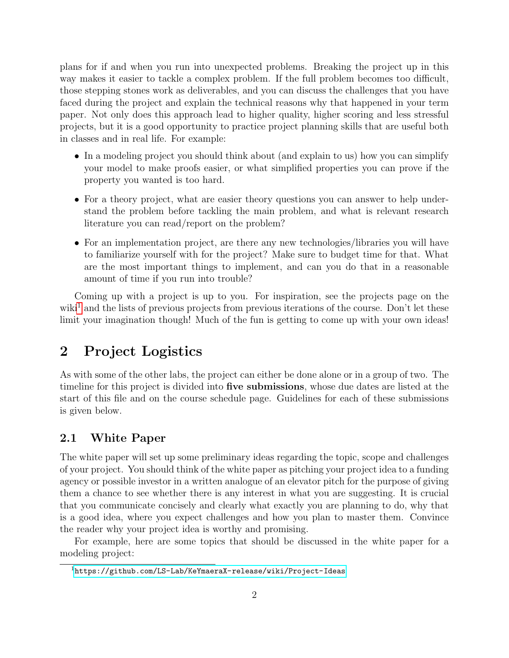plans for if and when you run into unexpected problems. Breaking the project up in this way makes it easier to tackle a complex problem. If the full problem becomes too difficult, those stepping stones work as deliverables, and you can discuss the challenges that you have faced during the project and explain the technical reasons why that happened in your term paper. Not only does this approach lead to higher quality, higher scoring and less stressful projects, but it is a good opportunity to practice project planning skills that are useful both in classes and in real life. For example:

- In a modeling project you should think about (and explain to us) how you can simplify your model to make proofs easier, or what simplified properties you can prove if the property you wanted is too hard.
- For a theory project, what are easier theory questions you can answer to help understand the problem before tackling the main problem, and what is relevant research literature you can read/report on the problem?
- For an implementation project, are there any new technologies/libraries you will have to familiarize yourself with for the project? Make sure to budget time for that. What are the most important things to implement, and can you do that in a reasonable amount of time if you run into trouble?

Coming up with a project is up to you. For inspiration, see the projects page on the wiki<sup>[1](#page-1-0)</sup> and the lists of previous projects from previous iterations of the course. Don't let these limit your imagination though! Much of the fun is getting to come up with your own ideas!

# 2 Project Logistics

As with some of the other labs, the project can either be done alone or in a group of two. The timeline for this project is divided into five submissions, whose due dates are listed at the start of this file and on the course schedule page. Guidelines for each of these submissions is given below.

## 2.1 White Paper

The white paper will set up some preliminary ideas regarding the topic, scope and challenges of your project. You should think of the white paper as pitching your project idea to a funding agency or possible investor in a written analogue of an elevator pitch for the purpose of giving them a chance to see whether there is any interest in what you are suggesting. It is crucial that you communicate concisely and clearly what exactly you are planning to do, why that is a good idea, where you expect challenges and how you plan to master them. Convince the reader why your project idea is worthy and promising.

For example, here are some topics that should be discussed in the white paper for a modeling project:

<span id="page-1-0"></span><sup>1</sup><https://github.com/LS-Lab/KeYmaeraX-release/wiki/Project-Ideas>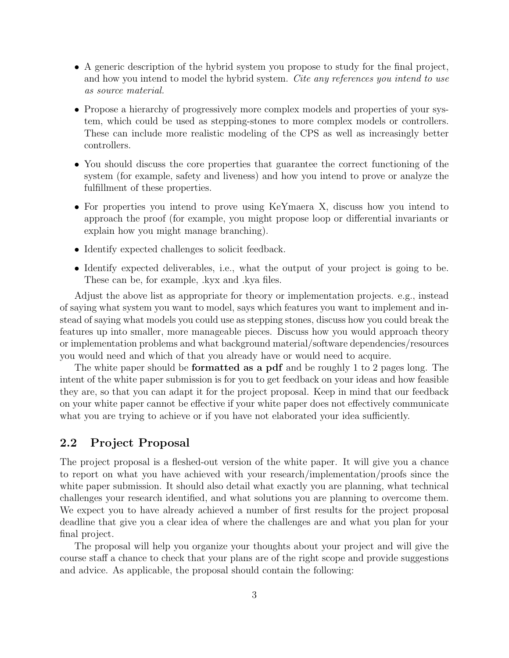- A generic description of the hybrid system you propose to study for the final project, and how you intend to model the hybrid system. Cite any references you intend to use as source material.
- Propose a hierarchy of progressively more complex models and properties of your system, which could be used as stepping-stones to more complex models or controllers. These can include more realistic modeling of the CPS as well as increasingly better controllers.
- You should discuss the core properties that guarantee the correct functioning of the system (for example, safety and liveness) and how you intend to prove or analyze the fulfillment of these properties.
- For properties you intend to prove using KeYmaera X, discuss how you intend to approach the proof (for example, you might propose loop or differential invariants or explain how you might manage branching).
- Identify expected challenges to solicit feedback.
- Identify expected deliverables, i.e., what the output of your project is going to be. These can be, for example, .kyx and .kya files.

Adjust the above list as appropriate for theory or implementation projects. e.g., instead of saying what system you want to model, says which features you want to implement and instead of saying what models you could use as stepping stones, discuss how you could break the features up into smaller, more manageable pieces. Discuss how you would approach theory or implementation problems and what background material/software dependencies/resources you would need and which of that you already have or would need to acquire.

The white paper should be **formatted as a pdf** and be roughly 1 to 2 pages long. The intent of the white paper submission is for you to get feedback on your ideas and how feasible they are, so that you can adapt it for the project proposal. Keep in mind that our feedback on your white paper cannot be effective if your white paper does not effectively communicate what you are trying to achieve or if you have not elaborated your idea sufficiently.

#### 2.2 Project Proposal

The project proposal is a fleshed-out version of the white paper. It will give you a chance to report on what you have achieved with your research/implementation/proofs since the white paper submission. It should also detail what exactly you are planning, what technical challenges your research identified, and what solutions you are planning to overcome them. We expect you to have already achieved a number of first results for the project proposal deadline that give you a clear idea of where the challenges are and what you plan for your final project.

The proposal will help you organize your thoughts about your project and will give the course staff a chance to check that your plans are of the right scope and provide suggestions and advice. As applicable, the proposal should contain the following: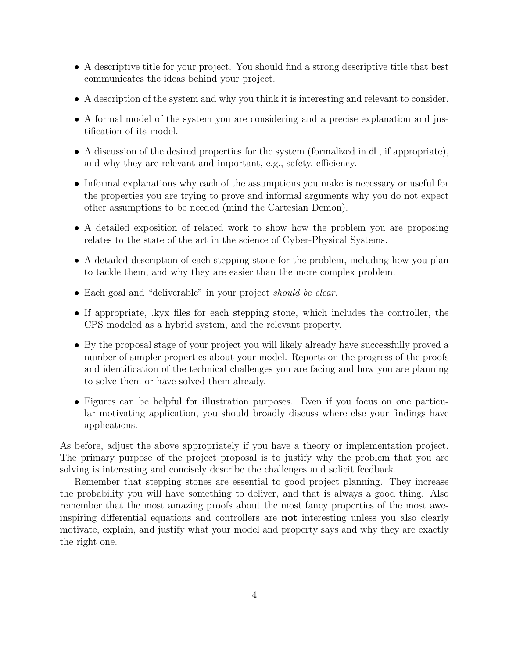- A descriptive title for your project. You should find a strong descriptive title that best communicates the ideas behind your project.
- A description of the system and why you think it is interesting and relevant to consider.
- A formal model of the system you are considering and a precise explanation and justification of its model.
- A discussion of the desired properties for the system (formalized in  $dL$ , if appropriate), and why they are relevant and important, e.g., safety, efficiency.
- Informal explanations why each of the assumptions you make is necessary or useful for the properties you are trying to prove and informal arguments why you do not expect other assumptions to be needed (mind the Cartesian Demon).
- A detailed exposition of related work to show how the problem you are proposing relates to the state of the art in the science of Cyber-Physical Systems.
- A detailed description of each stepping stone for the problem, including how you plan to tackle them, and why they are easier than the more complex problem.
- Each goal and "deliverable" in your project should be clear.
- If appropriate, .kyx files for each stepping stone, which includes the controller, the CPS modeled as a hybrid system, and the relevant property.
- By the proposal stage of your project you will likely already have successfully proved a number of simpler properties about your model. Reports on the progress of the proofs and identification of the technical challenges you are facing and how you are planning to solve them or have solved them already.
- Figures can be helpful for illustration purposes. Even if you focus on one particular motivating application, you should broadly discuss where else your findings have applications.

As before, adjust the above appropriately if you have a theory or implementation project. The primary purpose of the project proposal is to justify why the problem that you are solving is interesting and concisely describe the challenges and solicit feedback.

Remember that stepping stones are essential to good project planning. They increase the probability you will have something to deliver, and that is always a good thing. Also remember that the most amazing proofs about the most fancy properties of the most aweinspiring differential equations and controllers are not interesting unless you also clearly motivate, explain, and justify what your model and property says and why they are exactly the right one.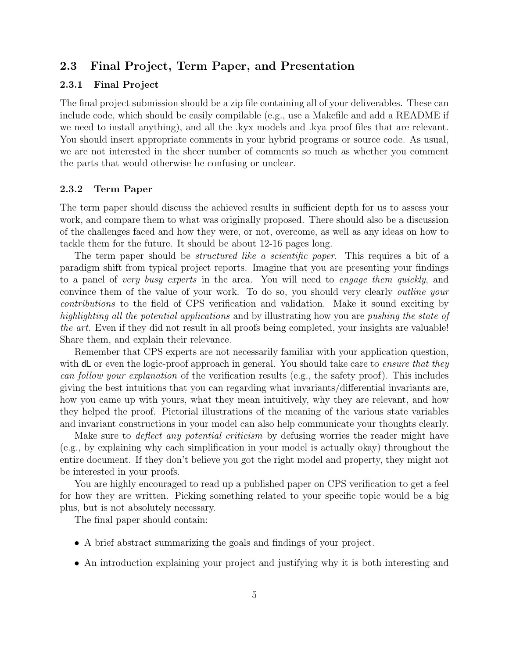#### 2.3 Final Project, Term Paper, and Presentation

#### 2.3.1 Final Project

The final project submission should be a zip file containing all of your deliverables. These can include code, which should be easily compilable (e.g., use a Makefile and add a README if we need to install anything), and all the .kyx models and .kya proof files that are relevant. You should insert appropriate comments in your hybrid programs or source code. As usual, we are not interested in the sheer number of comments so much as whether you comment the parts that would otherwise be confusing or unclear.

#### 2.3.2 Term Paper

The term paper should discuss the achieved results in sufficient depth for us to assess your work, and compare them to what was originally proposed. There should also be a discussion of the challenges faced and how they were, or not, overcome, as well as any ideas on how to tackle them for the future. It should be about 12-16 pages long.

The term paper should be *structured like a scientific paper*. This requires a bit of a paradigm shift from typical project reports. Imagine that you are presenting your findings to a panel of very busy experts in the area. You will need to engage them quickly, and convince them of the value of your work. To do so, you should very clearly outline your contributions to the field of CPS verification and validation. Make it sound exciting by highlighting all the potential applications and by illustrating how you are pushing the state of the art. Even if they did not result in all proofs being completed, your insights are valuable! Share them, and explain their relevance.

Remember that CPS experts are not necessarily familiar with your application question, with dL or even the logic-proof approach in general. You should take care to *ensure that they* can follow your explanation of the verification results (e.g., the safety proof). This includes giving the best intuitions that you can regarding what invariants/differential invariants are, how you came up with yours, what they mean intuitively, why they are relevant, and how they helped the proof. Pictorial illustrations of the meaning of the various state variables and invariant constructions in your model can also help communicate your thoughts clearly.

Make sure to *deflect any potential criticism* by defusing worries the reader might have (e.g., by explaining why each simplification in your model is actually okay) throughout the entire document. If they don't believe you got the right model and property, they might not be interested in your proofs.

You are highly encouraged to read up a published paper on CPS verification to get a feel for how they are written. Picking something related to your specific topic would be a big plus, but is not absolutely necessary.

The final paper should contain:

- A brief abstract summarizing the goals and findings of your project.
- An introduction explaining your project and justifying why it is both interesting and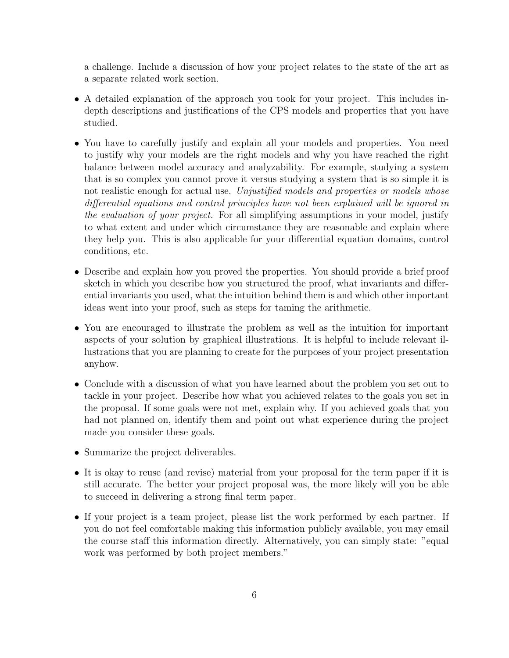a challenge. Include a discussion of how your project relates to the state of the art as a separate related work section.

- A detailed explanation of the approach you took for your project. This includes indepth descriptions and justifications of the CPS models and properties that you have studied.
- You have to carefully justify and explain all your models and properties. You need to justify why your models are the right models and why you have reached the right balance between model accuracy and analyzability. For example, studying a system that is so complex you cannot prove it versus studying a system that is so simple it is not realistic enough for actual use. Unjustified models and properties or models whose differential equations and control principles have not been explained will be ignored in the evaluation of your project. For all simplifying assumptions in your model, justify to what extent and under which circumstance they are reasonable and explain where they help you. This is also applicable for your differential equation domains, control conditions, etc.
- Describe and explain how you proved the properties. You should provide a brief proof sketch in which you describe how you structured the proof, what invariants and differential invariants you used, what the intuition behind them is and which other important ideas went into your proof, such as steps for taming the arithmetic.
- You are encouraged to illustrate the problem as well as the intuition for important aspects of your solution by graphical illustrations. It is helpful to include relevant illustrations that you are planning to create for the purposes of your project presentation anyhow.
- Conclude with a discussion of what you have learned about the problem you set out to tackle in your project. Describe how what you achieved relates to the goals you set in the proposal. If some goals were not met, explain why. If you achieved goals that you had not planned on, identify them and point out what experience during the project made you consider these goals.
- Summarize the project deliverables.
- It is okay to reuse (and revise) material from your proposal for the term paper if it is still accurate. The better your project proposal was, the more likely will you be able to succeed in delivering a strong final term paper.
- If your project is a team project, please list the work performed by each partner. If you do not feel comfortable making this information publicly available, you may email the course staff this information directly. Alternatively, you can simply state: "equal work was performed by both project members."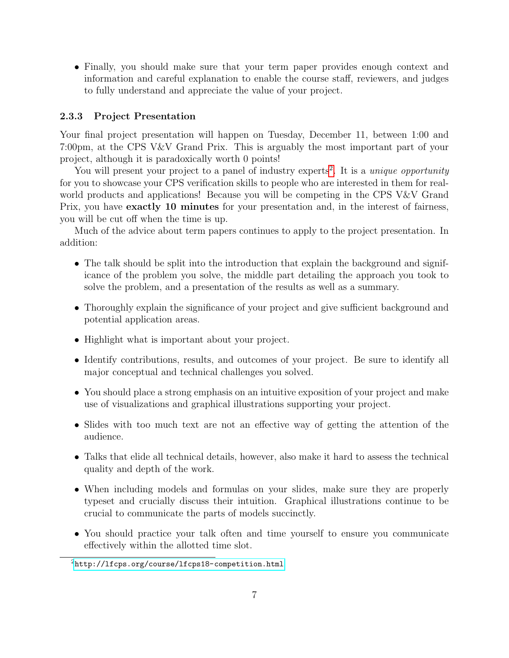• Finally, you should make sure that your term paper provides enough context and information and careful explanation to enable the course staff, reviewers, and judges to fully understand and appreciate the value of your project.

#### 2.3.3 Project Presentation

Your final project presentation will happen on Tuesday, December 11, between 1:00 and 7:00pm, at the CPS V&V Grand Prix. This is arguably the most important part of your project, although it is paradoxically worth 0 points!

You will present your project to a panel of industry experts<sup>[2](#page-6-0)</sup>. It is a *unique opportunity* for you to showcase your CPS verification skills to people who are interested in them for realworld products and applications! Because you will be competing in the CPS V&V Grand Prix, you have exactly 10 minutes for your presentation and, in the interest of fairness, you will be cut off when the time is up.

Much of the advice about term papers continues to apply to the project presentation. In addition:

- The talk should be split into the introduction that explain the background and significance of the problem you solve, the middle part detailing the approach you took to solve the problem, and a presentation of the results as well as a summary.
- Thoroughly explain the significance of your project and give sufficient background and potential application areas.
- Highlight what is important about your project.
- Identify contributions, results, and outcomes of your project. Be sure to identify all major conceptual and technical challenges you solved.
- You should place a strong emphasis on an intuitive exposition of your project and make use of visualizations and graphical illustrations supporting your project.
- Slides with too much text are not an effective way of getting the attention of the audience.
- Talks that elide all technical details, however, also make it hard to assess the technical quality and depth of the work.
- When including models and formulas on your slides, make sure they are properly typeset and crucially discuss their intuition. Graphical illustrations continue to be crucial to communicate the parts of models succinctly.
- You should practice your talk often and time yourself to ensure you communicate effectively within the allotted time slot.

<span id="page-6-0"></span> $2$ <http://lfcps.org/course/lfcps18-competition.html>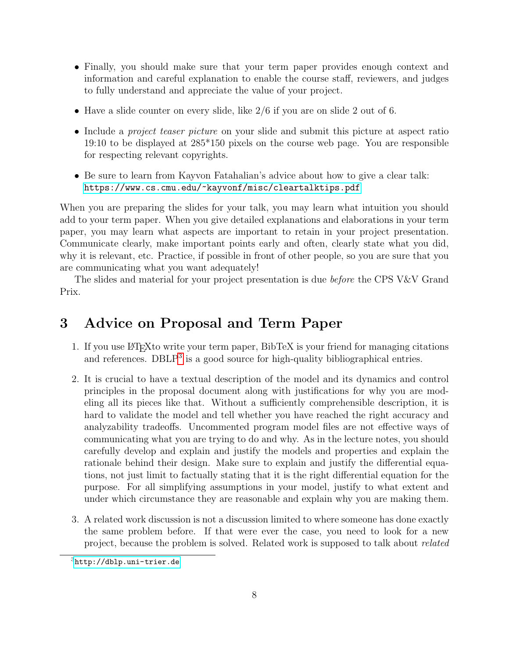- Finally, you should make sure that your term paper provides enough context and information and careful explanation to enable the course staff, reviewers, and judges to fully understand and appreciate the value of your project.
- Have a slide counter on every slide, like  $2/6$  if you are on slide 2 out of 6.
- Include a *project teaser picture* on your slide and submit this picture at aspect ratio 19:10 to be displayed at 285\*150 pixels on the course web page. You are responsible for respecting relevant copyrights.
- Be sure to learn from Kayvon Fatahalian's advice about how to give a clear talk: <https://www.cs.cmu.edu/~kayvonf/misc/cleartalktips.pdf>

When you are preparing the slides for your talk, you may learn what intuition you should add to your term paper. When you give detailed explanations and elaborations in your term paper, you may learn what aspects are important to retain in your project presentation. Communicate clearly, make important points early and often, clearly state what you did, why it is relevant, etc. Practice, if possible in front of other people, so you are sure that you are communicating what you want adequately!

The slides and material for your project presentation is due *before* the CPS V&V Grand Prix.

# 3 Advice on Proposal and Term Paper

- 1. If you use LATEXto write your term paper, BibTeX is your friend for managing citations and references.  $DBLP<sup>3</sup>$  $DBLP<sup>3</sup>$  $DBLP<sup>3</sup>$  is a good source for high-quality bibliographical entries.
- 2. It is crucial to have a textual description of the model and its dynamics and control principles in the proposal document along with justifications for why you are modeling all its pieces like that. Without a sufficiently comprehensible description, it is hard to validate the model and tell whether you have reached the right accuracy and analyzability tradeoffs. Uncommented program model files are not effective ways of communicating what you are trying to do and why. As in the lecture notes, you should carefully develop and explain and justify the models and properties and explain the rationale behind their design. Make sure to explain and justify the differential equations, not just limit to factually stating that it is the right differential equation for the purpose. For all simplifying assumptions in your model, justify to what extent and under which circumstance they are reasonable and explain why you are making them.
- 3. A related work discussion is not a discussion limited to where someone has done exactly the same problem before. If that were ever the case, you need to look for a new project, because the problem is solved. Related work is supposed to talk about related

<span id="page-7-0"></span><sup>3</sup><http://dblp.uni-trier.de>